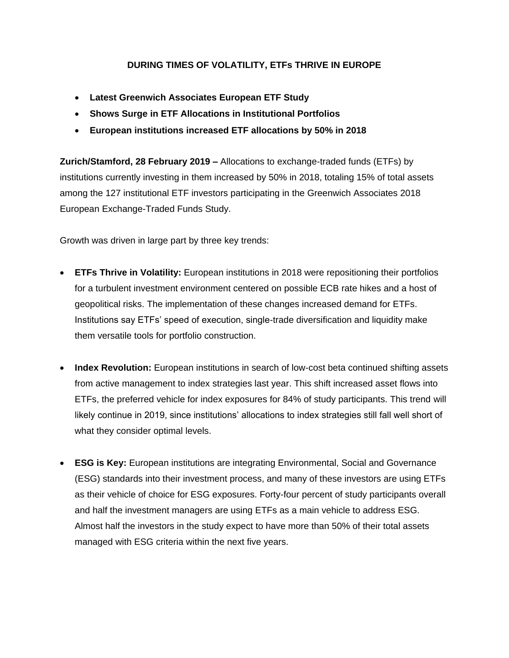## **DURING TIMES OF VOLATILITY, ETFs THRIVE IN EUROPE**

- **Latest Greenwich Associates European ETF Study**
- **Shows Surge in ETF Allocations in Institutional Portfolios**
- **European institutions increased ETF allocations by 50% in 2018**

**Zurich/Stamford, 28 February 2019 –** Allocations to exchange-traded funds (ETFs) by institutions currently investing in them increased by 50% in 2018, totaling 15% of total assets among the 127 institutional ETF investors participating in the Greenwich Associates 2018 European Exchange-Traded Funds Study.

Growth was driven in large part by three key trends:

- **ETFs Thrive in Volatility:** European institutions in 2018 were repositioning their portfolios for a turbulent investment environment centered on possible ECB rate hikes and a host of geopolitical risks. The implementation of these changes increased demand for ETFs. Institutions say ETFs' speed of execution, single-trade diversification and liquidity make them versatile tools for portfolio construction.
- **Index Revolution:** European institutions in search of low-cost beta continued shifting assets from active management to index strategies last year. This shift increased asset flows into ETFs, the preferred vehicle for index exposures for 84% of study participants. This trend will likely continue in 2019, since institutions' allocations to index strategies still fall well short of what they consider optimal levels.
- **ESG is Key:** European institutions are integrating Environmental, Social and Governance (ESG) standards into their investment process, and many of these investors are using ETFs as their vehicle of choice for ESG exposures. Forty-four percent of study participants overall and half the investment managers are using ETFs as a main vehicle to address ESG. Almost half the investors in the study expect to have more than 50% of their total assets managed with ESG criteria within the next five years.